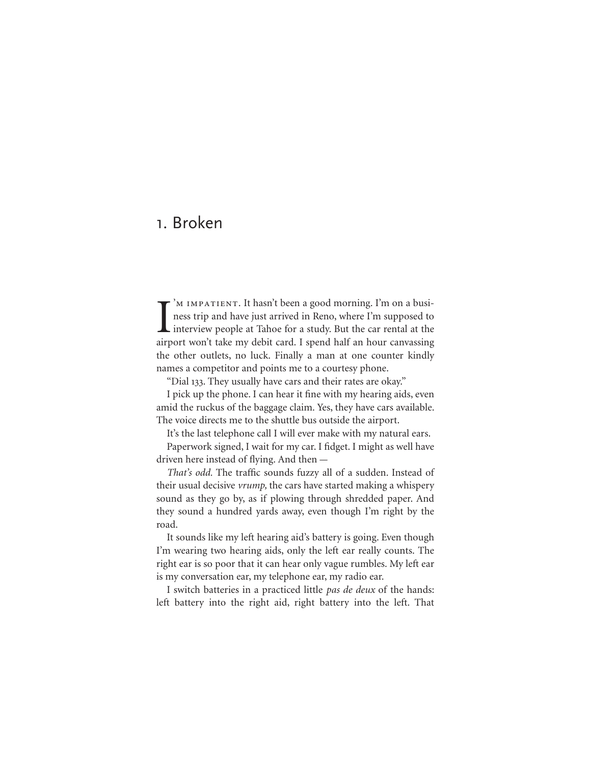# 1. Broken

I<br>aire 'M IMPATIENT. It hasn't been a good morning. I'm on a business trip and have just arrived in Reno, where I'm supposed to interview people at Tahoe for a study. But the car rental at the airport won't take my debit card. I spend half an hour canvassing the other outlets, no luck. Finally a man at one counter kindly names a competitor and points me to a courtesy phone.

"Dial 133. They usually have cars and their rates are okay."

I pick up the phone. I can hear it fine with my hearing aids, even amid the ruckus of the baggage claim. Yes, they have cars available. The voice directs me to the shuttle bus outside the airport.

It's the last telephone call I will ever make with my natural ears.

Paperwork signed, I wait for my car. I fidget. I might as well have driven here instead of flying. And then —

That's odd. The traffic sounds fuzzy all of a sudden. Instead of their usual decisive *vrump*, the cars have started making a whispery sound as they go by, as if plowing through shredded paper. And they sound a hundred yards away, even though I'm right by the road.

It sounds like my left hearing aid's battery is going. Even though I'm wearing two hearing aids, only the left ear really counts. The right ear is so poor that it can hear only vague rumbles. My left ear is my conversation ear, my telephone ear, my radio ear.

I switch batteries in a practiced little pas de deux of the hands: left battery into the right aid, right battery into the left. That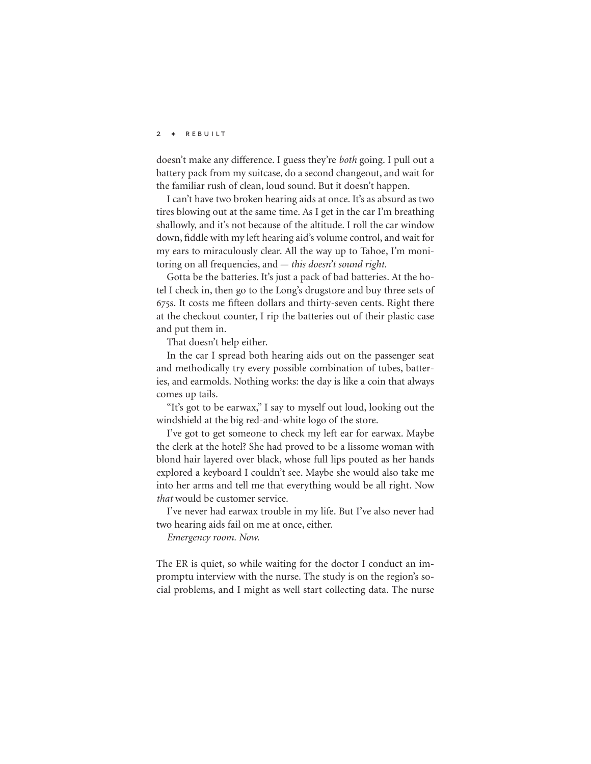# $2 + REBUILT$

doesn't make any difference. I guess they're both going. I pull out a battery pack from my suitcase, do a second changeout, and wait for the familiar rush of clean, loud sound. But it doesn't happen.

I can't have two broken hearing aids at once. It's as absurd as two tires blowing out at the same time. As I get in the car I'm breathing shallowly, and it's not because of the altitude. I roll the car window down, fiddle with my left hearing aid's volume control, and wait for my ears to miraculously clear. All the way up to Tahoe, I'm monitoring on all frequencies, and — this doesn't sound right.

Gotta be the batteries. It's just a pack of bad batteries. At the hotel I check in, then go to the Long's drugstore and buy three sets of 675s. It costs me fifteen dollars and thirty-seven cents. Right there at the checkout counter, I rip the batteries out of their plastic case and put them in.

That doesn't help either.

In the car I spread both hearing aids out on the passenger seat and methodically try every possible combination of tubes, batteries, and earmolds. Nothing works: the day is like a coin that always comes up tails.

"It's got to be earwax," I say to myself out loud, looking out the windshield at the big red-and-white logo of the store.

I've got to get someone to check my left ear for earwax. Maybe the clerk at the hotel? She had proved to be a lissome woman with blond hair layered over black, whose full lips pouted as her hands explored a keyboard I couldn't see. Maybe she would also take me into her arms and tell me that everything would be all right. Now that would be customer service.

I've never had earwax trouble in my life. But I've also never had two hearing aids fail on me at once, either.

Emergency room. Now.

The ER is quiet, so while waiting for the doctor I conduct an impromptu interview with the nurse. The study is on the region's social problems, and I might as well start collecting data. The nurse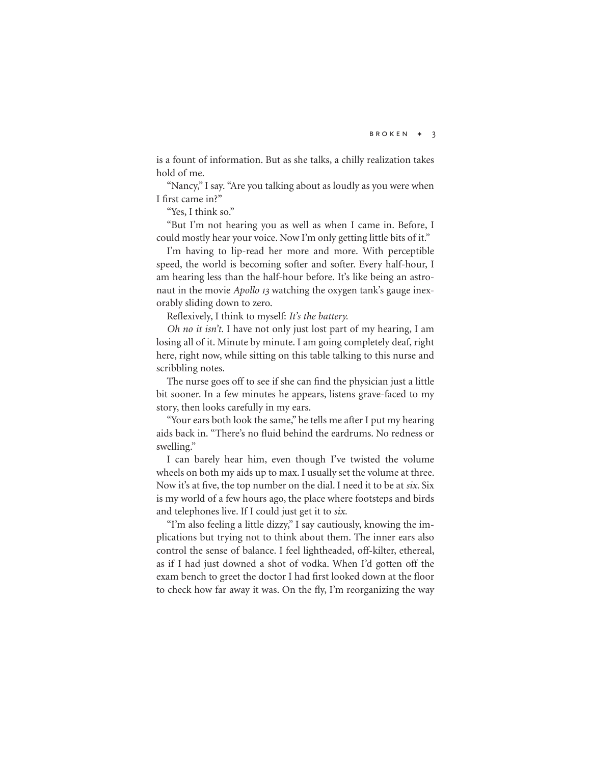is a fount of information. But as she talks, a chilly realization takes hold of me.

"Nancy," I say. "Are you talking about as loudly as you were when I first came in?"

"Yes, I think so."

"But I'm not hearing you as well as when I came in. Before, I could mostly hear your voice. Now I'm only getting little bits of it."

I'm having to lip-read her more and more. With perceptible speed, the world is becoming softer and softer. Every half-hour, I am hearing less than the half-hour before. It's like being an astronaut in the movie *Apollo* 13 watching the oxygen tank's gauge inexorably sliding down to zero.

Reflexively, I think to myself: It's the battery.

Oh no it isn't. I have not only just lost part of my hearing, I am losing all of it. Minute by minute. I am going completely deaf, right here, right now, while sitting on this table talking to this nurse and scribbling notes.

The nurse goes off to see if she can find the physician just a little bit sooner. In a few minutes he appears, listens grave-faced to my story, then looks carefully in my ears.

"Your ears both look the same," he tells me after I put my hearing aids back in. "There's no fluid behind the eardrums. No redness or swelling."

I can barely hear him, even though I've twisted the volume wheels on both my aids up to max. I usually set the volume at three. Now it's at five, the top number on the dial. I need it to be at six. Six is my world of a few hours ago, the place where footsteps and birds and telephones live. If I could just get it to six.

"I'm also feeling a little dizzy," I say cautiously, knowing the implications but trying not to think about them. The inner ears also control the sense of balance. I feel lightheaded, off-kilter, ethereal, as if I had just downed a shot of vodka. When I'd gotten off the exam bench to greet the doctor I had first looked down at the floor to check how far away it was. On the fly, I'm reorganizing the way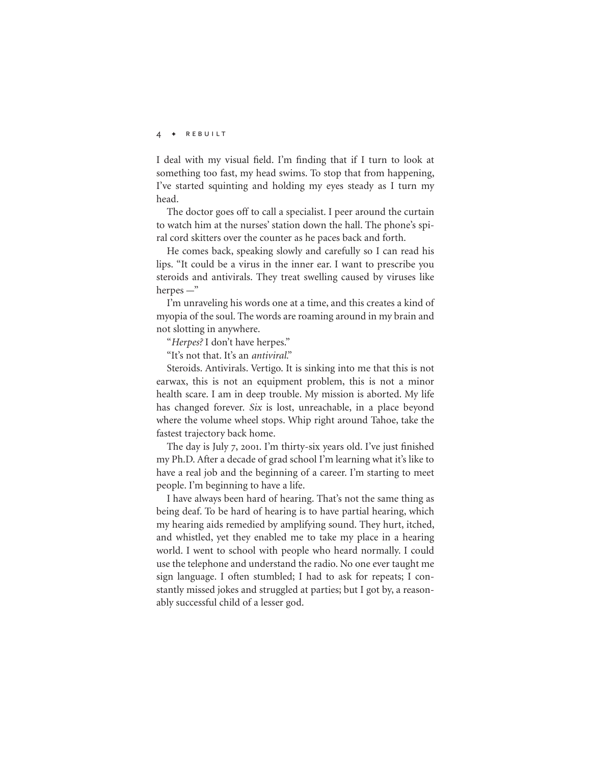# $4 \rightarrow$  REBUILT

I deal with my visual field. I'm finding that if I turn to look at something too fast, my head swims. To stop that from happening, I've started squinting and holding my eyes steady as I turn my head.

The doctor goes off to call a specialist. I peer around the curtain to watch him at the nurses' station down the hall. The phone's spiral cord skitters over the counter as he paces back and forth.

He comes back, speaking slowly and carefully so I can read his lips. "It could be a virus in the inner ear. I want to prescribe you steroids and antivirals. They treat swelling caused by viruses like herpes  $-\frac{y}{x}$ 

I'm unraveling his words one at a time, and this creates a kind of myopia of the soul. The words are roaming around in my brain and not slotting in anywhere.

"Herpes? I don't have herpes."

"It's not that. It's an *antiviral*."

Steroids. Antivirals. Vertigo. It is sinking into me that this is not earwax, this is not an equipment problem, this is not a minor health scare. I am in deep trouble. My mission is aborted. My life has changed forever. Six is lost, unreachable, in a place beyond where the volume wheel stops. Whip right around Tahoe, take the fastest trajectory back home.

The day is July 7, 2001. I'm thirty-six years old. I've just finished my Ph.D. After a decade of grad school I'm learning what it's like to have a real job and the beginning of a career. I'm starting to meet people. I'm beginning to have a life.

I have always been hard of hearing. That's not the same thing as being deaf. To be hard of hearing is to have partial hearing, which my hearing aids remedied by amplifying sound. They hurt, itched, and whistled, yet they enabled me to take my place in a hearing world. I went to school with people who heard normally. I could use the telephone and understand the radio. No one ever taught me sign language. I often stumbled; I had to ask for repeats; I constantly missed jokes and struggled at parties; but I got by, a reasonably successful child of a lesser god.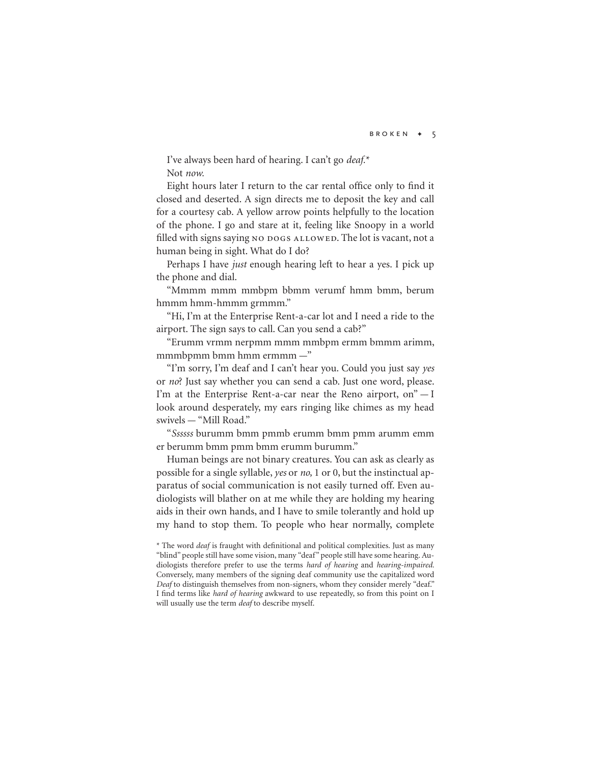I've always been hard of hearing. I can't go *deaf*. $*$ Not now.

Eight hours later I return to the car rental office only to find it closed and deserted. A sign directs me to deposit the key and call for a courtesy cab. A yellow arrow points helpfully to the location of the phone. I go and stare at it, feeling like Snoopy in a world filled with signs saying NO DOGS ALLOWED. The lot is vacant, not a human being in sight. What do I do?

Perhaps I have *just* enough hearing left to hear a yes. I pick up the phone and dial.

"Mmmm mmm mmbpm bbmm verumf hmm bmm, berum hmmm hmm-hmmm grmmm."

"Hi, I'm at the Enterprise Rent-a-car lot and I need a ride to the airport. The sign says to call. Can you send a cab?"

"Erumm vrmm nerpmm mmm mmbpm ermm bmmm arimm, mmmbpmm bmm hmm ermmm —"

"I'm sorry, I'm deaf and I can't hear you. Could you just say yes or no? Just say whether you can send a cab. Just one word, please. I'm at the Enterprise Rent-a-car near the Reno airport, on" $-$ I look around desperately, my ears ringing like chimes as my head swivels — "Mill Road."

"Ssssss burumm bmm pmmb erumm bmm pmm arumm emm er berumm bmm pmm bmm erumm burumm."

Human beings are not binary creatures. You can ask as clearly as possible for a single syllable, yes or no, 1 or 0, but the instinctual apparatus of social communication is not easily turned off. Even audiologists will blather on at me while they are holding my hearing aids in their own hands, and I have to smile tolerantly and hold up my hand to stop them. To people who hear normally, complete

<sup>\*</sup> The word deaf is fraught with definitional and political complexities. Just as many "blind" people still have some vision, many "deaf" people still have some hearing. Audiologists therefore prefer to use the terms hard of hearing and hearing-impaired. Conversely, many members of the signing deaf community use the capitalized word Deaf to distinguish themselves from non-signers, whom they consider merely "deaf." I find terms like hard of hearing awkward to use repeatedly, so from this point on I will usually use the term *deaf* to describe myself.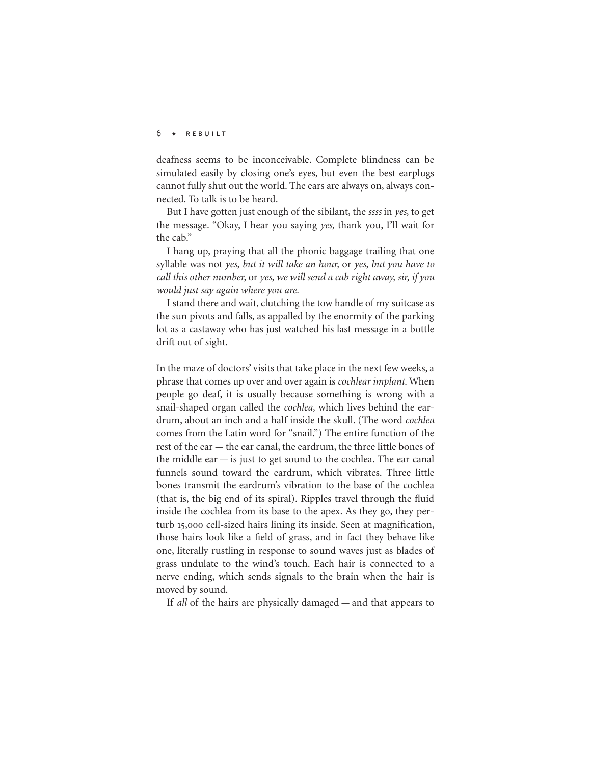# $6 \rightarrow$  REBUILT

deafness seems to be inconceivable. Complete blindness can be simulated easily by closing one's eyes, but even the best earplugs cannot fully shut out the world. The ears are always on, always connected. To talk is to be heard.

But I have gotten just enough of the sibilant, the ssss in yes, to get the message. "Okay, I hear you saying yes, thank you, I'll wait for the cab."

I hang up, praying that all the phonic baggage trailing that one syllable was not yes, but it will take an hour, or yes, but you have to call this other number, or yes, we will send a cab right away, sir, if you would just say again where you are.

I stand there and wait, clutching the tow handle of my suitcase as the sun pivots and falls, as appalled by the enormity of the parking lot as a castaway who has just watched his last message in a bottle drift out of sight.

In the maze of doctors' visits that take place in the next few weeks, a phrase that comes up over and over again is cochlear implant. When people go deaf, it is usually because something is wrong with a snail-shaped organ called the cochlea, which lives behind the eardrum, about an inch and a half inside the skull. (The word cochlea comes from the Latin word for "snail.") The entire function of the rest of the ear — the ear canal, the eardrum, the three little bones of the middle ear  $-$  is just to get sound to the cochlea. The ear canal funnels sound toward the eardrum, which vibrates. Three little bones transmit the eardrum's vibration to the base of the cochlea (that is, the big end of its spiral). Ripples travel through the fluid inside the cochlea from its base to the apex. As they go, they perturb 15,000 cell-sized hairs lining its inside. Seen at magnification, those hairs look like a field of grass, and in fact they behave like one, literally rustling in response to sound waves just as blades of grass undulate to the wind's touch. Each hair is connected to a nerve ending, which sends signals to the brain when the hair is moved by sound.

If all of the hairs are physically damaged — and that appears to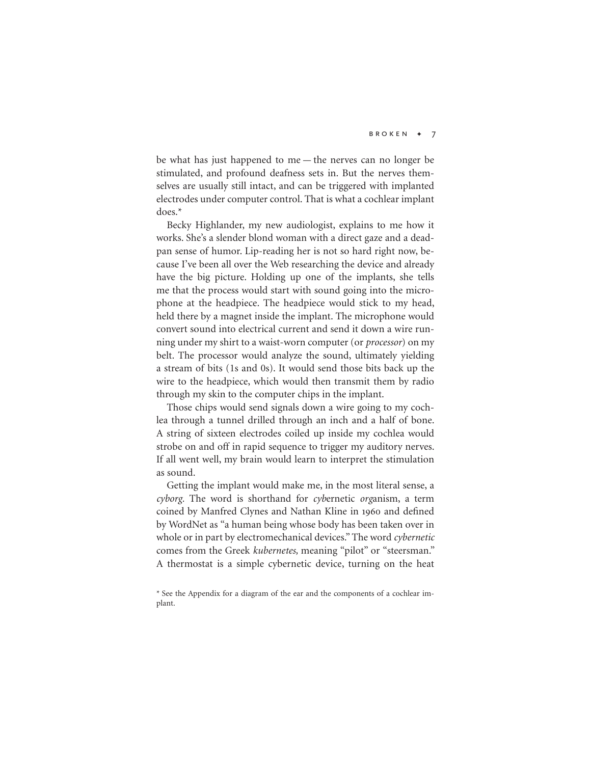be what has just happened to me — the nerves can no longer be stimulated, and profound deafness sets in. But the nerves themselves are usually still intact, and can be triggered with implanted electrodes under computer control. That is what a cochlear implant does.\*

Becky Highlander, my new audiologist, explains to me how it works. She's a slender blond woman with a direct gaze and a deadpan sense of humor. Lip-reading her is not so hard right now, because I've been all over the Web researching the device and already have the big picture. Holding up one of the implants, she tells me that the process would start with sound going into the microphone at the headpiece. The headpiece would stick to my head, held there by a magnet inside the implant. The microphone would convert sound into electrical current and send it down a wire running under my shirt to a waist-worn computer (or processor) on my belt. The processor would analyze the sound, ultimately yielding a stream of bits (1s and 0s). It would send those bits back up the wire to the headpiece, which would then transmit them by radio through my skin to the computer chips in the implant.

Those chips would send signals down a wire going to my cochlea through a tunnel drilled through an inch and a half of bone. A string of sixteen electrodes coiled up inside my cochlea would strobe on and off in rapid sequence to trigger my auditory nerves. If all went well, my brain would learn to interpret the stimulation as sound.

Getting the implant would make me, in the most literal sense, a cyborg. The word is shorthand for cybernetic organism, a term coined by Manfred Clynes and Nathan Kline in 1960 and defined by WordNet as "a human being whose body has been taken over in whole or in part by electromechanical devices." The word cybernetic comes from the Greek kubernetes, meaning "pilot" or "steersman." A thermostat is a simple cybernetic device, turning on the heat

<sup>\*</sup> See the Appendix for a diagram of the ear and the components of a cochlear implant.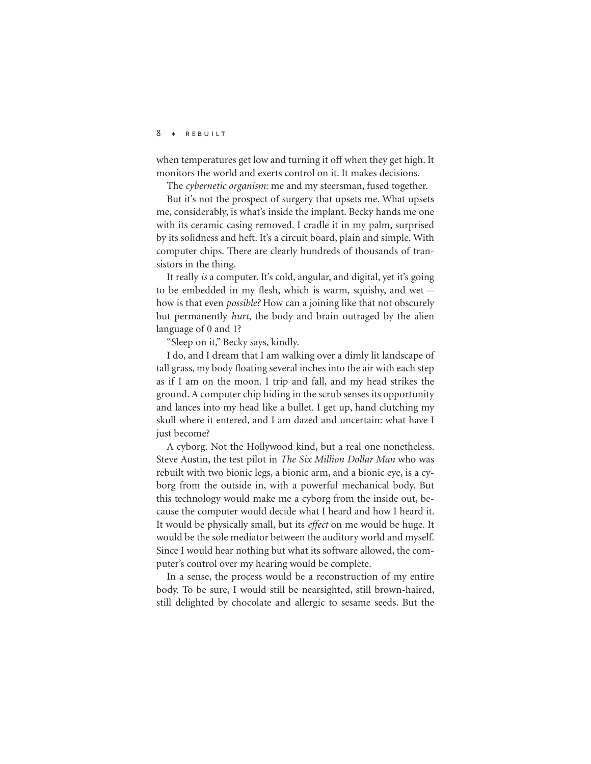## $8 +$  REBUILT

when temperatures get low and turning it off when they get high. It monitors the world and exerts control on it. It makes decisions.

The cybernetic organism: me and my steersman, fused together.

But it's not the prospect of surgery that upsets me. What upsets me, considerably, is what's inside the implant. Becky hands me one with its ceramic casing removed. I cradle it in my palm, surprised by its solidness and heft. It's a circuit board, plain and simple. With computer chips. There are clearly hundreds of thousands of transistors in the thing.

It really is a computer. It's cold, angular, and digital, yet it's going to be embedded in my flesh, which is warm, squishy, and wet how is that even possible? How can a joining like that not obscurely but permanently hurt, the body and brain outraged by the alien language of 0 and 1?

"Sleep on it," Becky says, kindly.

I do, and I dream that I am walking over a dimly lit landscape of tall grass, my body floating several inches into the air with each step as if I am on the moon. I trip and fall, and my head strikes the ground. A computer chip hiding in the scrub senses its opportunity and lances into my head like a bullet. I get up, hand clutching my skull where it entered, and I am dazed and uncertain: what have I just become?

A cyborg. Not the Hollywood kind, but a real one nonetheless. Steve Austin, the test pilot in The Six Million Dollar Man who was rebuilt with two bionic legs, a bionic arm, and a bionic eye, is a cyborg from the outside in, with a powerful mechanical body. But this technology would make me a cyborg from the inside out, because the computer would decide what I heard and how I heard it. It would be physically small, but its effect on me would be huge. It would be the sole mediator between the auditory world and myself. Since I would hear nothing but what its software allowed, the computer's control over my hearing would be complete.

In a sense, the process would be a reconstruction of my entire body. To be sure, I would still be nearsighted, still brown-haired, still delighted by chocolate and allergic to sesame seeds. But the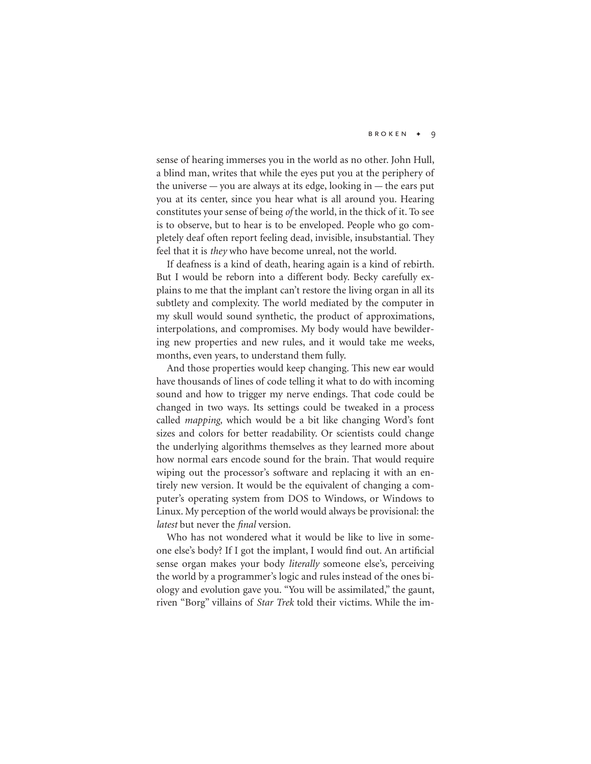sense of hearing immerses you in the world as no other. John Hull, a blind man, writes that while the eyes put you at the periphery of the universe — you are always at its edge, looking in — the ears put you at its center, since you hear what is all around you. Hearing constitutes your sense of being of the world, in the thick of it. To see is to observe, but to hear is to be enveloped. People who go completely deaf often report feeling dead, invisible, insubstantial. They feel that it is they who have become unreal, not the world.

If deafness is a kind of death, hearing again is a kind of rebirth. But I would be reborn into a different body. Becky carefully explains to me that the implant can't restore the living organ in all its subtlety and complexity. The world mediated by the computer in my skull would sound synthetic, the product of approximations, interpolations, and compromises. My body would have bewildering new properties and new rules, and it would take me weeks, months, even years, to understand them fully.

And those properties would keep changing. This new ear would have thousands of lines of code telling it what to do with incoming sound and how to trigger my nerve endings. That code could be changed in two ways. Its settings could be tweaked in a process called mapping, which would be a bit like changing Word's font sizes and colors for better readability. Or scientists could change the underlying algorithms themselves as they learned more about how normal ears encode sound for the brain. That would require wiping out the processor's software and replacing it with an entirely new version. It would be the equivalent of changing a computer's operating system from DOS to Windows, or Windows to Linux. My perception of the world would always be provisional: the latest but never the *final* version.

Who has not wondered what it would be like to live in someone else's body? If I got the implant, I would find out. An artificial sense organ makes your body literally someone else's, perceiving the world by a programmer's logic and rules instead of the ones biology and evolution gave you. "You will be assimilated," the gaunt, riven "Borg" villains of Star Trek told their victims. While the im-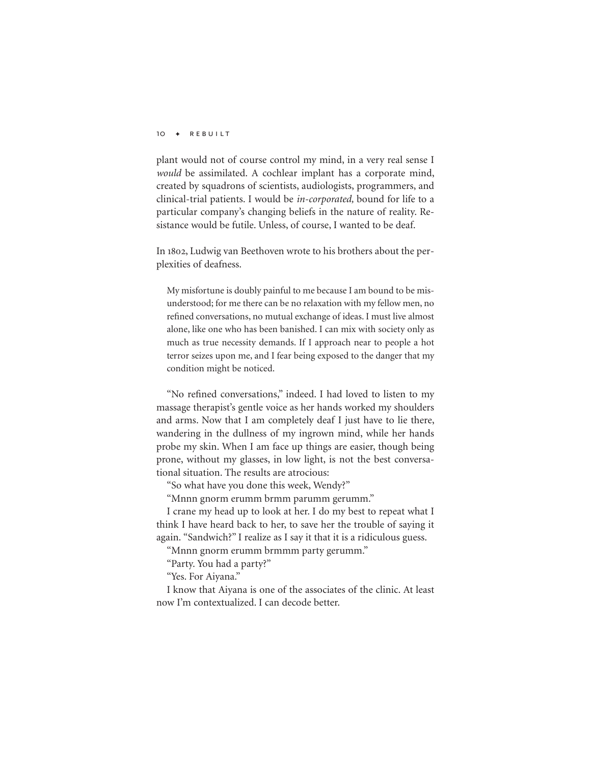## $10 \div$  REBUILT

plant would not of course control my mind, in a very real sense I would be assimilated. A cochlear implant has a corporate mind, created by squadrons of scientists, audiologists, programmers, and clinical-trial patients. I would be in-corporated, bound for life to a particular company's changing beliefs in the nature of reality. Resistance would be futile. Unless, of course, I wanted to be deaf.

In 1802, Ludwig van Beethoven wrote to his brothers about the perplexities of deafness.

My misfortune is doubly painful to me because I am bound to be misunderstood; for me there can be no relaxation with my fellow men, no refined conversations, no mutual exchange of ideas. I must live almost alone, like one who has been banished. I can mix with society only as much as true necessity demands. If I approach near to people a hot terror seizes upon me, and I fear being exposed to the danger that my condition might be noticed.

"No refined conversations," indeed. I had loved to listen to my massage therapist's gentle voice as her hands worked my shoulders and arms. Now that I am completely deaf I just have to lie there, wandering in the dullness of my ingrown mind, while her hands probe my skin. When I am face up things are easier, though being prone, without my glasses, in low light, is not the best conversational situation. The results are atrocious:

"So what have you done this week, Wendy?"

"Mnnn gnorm erumm brmm parumm gerumm."

I crane my head up to look at her. I do my best to repeat what I think I have heard back to her, to save her the trouble of saying it again. "Sandwich?" I realize as I say it that it is a ridiculous guess.

"Mnnn gnorm erumm brmmm party gerumm."

"Party. You had a party?"

"Yes. For Aiyana."

I know that Aiyana is one of the associates of the clinic. At least now I'm contextualized. I can decode better.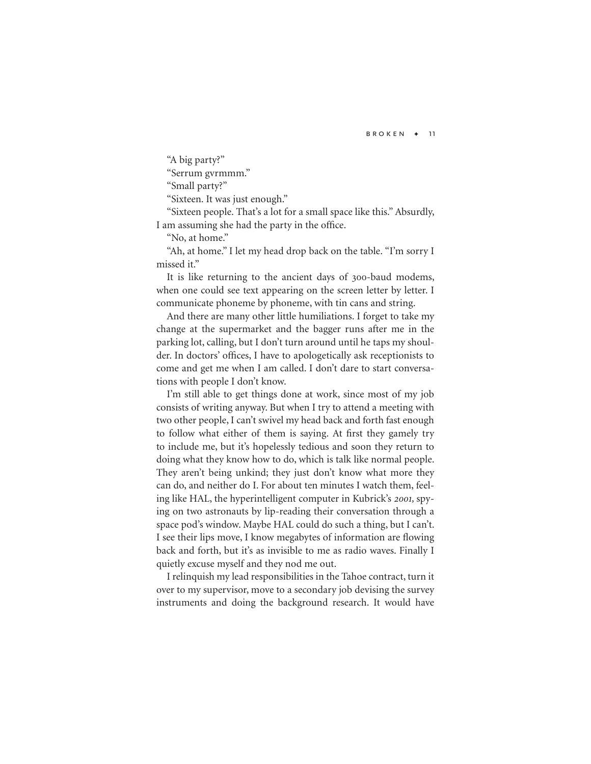$B$  ROKEN  $+$  11

"A big party?"

"Serrum gvrmmm."

"Small party?"

"Sixteen. It was just enough."

"Sixteen people. That's a lot for a small space like this." Absurdly, I am assuming she had the party in the office.

"No, at home."

"Ah, at home." I let my head drop back on the table. "I'm sorry I missed it."

It is like returning to the ancient days of 300-baud modems, when one could see text appearing on the screen letter by letter. I communicate phoneme by phoneme, with tin cans and string.

And there are many other little humiliations. I forget to take my change at the supermarket and the bagger runs after me in the parking lot, calling, but I don't turn around until he taps my shoulder. In doctors' offices, I have to apologetically ask receptionists to come and get me when I am called. I don't dare to start conversations with people I don't know.

I'm still able to get things done at work, since most of my job consists of writing anyway. But when I try to attend a meeting with two other people, I can't swivel my head back and forth fast enough to follow what either of them is saying. At first they gamely try to include me, but it's hopelessly tedious and soon they return to doing what they know how to do, which is talk like normal people. They aren't being unkind; they just don't know what more they can do, and neither do I. For about ten minutes I watch them, feeling like HAL, the hyperintelligent computer in Kubrick's 2001, spying on two astronauts by lip-reading their conversation through a space pod's window. Maybe HAL could do such a thing, but I can't. I see their lips move, I know megabytes of information are flowing back and forth, but it's as invisible to me as radio waves. Finally I quietly excuse myself and they nod me out.

I relinquish my lead responsibilities in the Tahoe contract, turn it over to my supervisor, move to a secondary job devising the survey instruments and doing the background research. It would have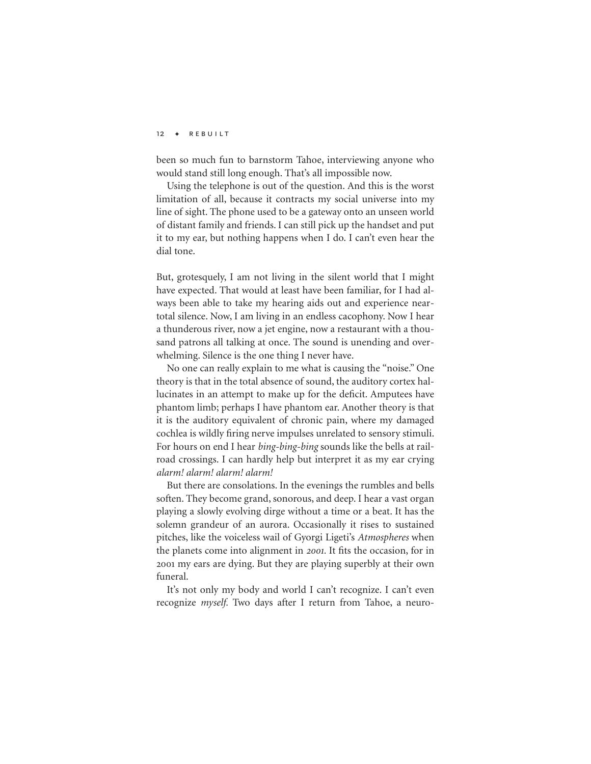#### $12 \div R$  **F R II I I T**

been so much fun to barnstorm Tahoe, interviewing anyone who would stand still long enough. That's all impossible now.

Using the telephone is out of the question. And this is the worst limitation of all, because it contracts my social universe into my line of sight. The phone used to be a gateway onto an unseen world of distant family and friends. I can still pick up the handset and put it to my ear, but nothing happens when I do. I can't even hear the dial tone.

But, grotesquely, I am not living in the silent world that I might have expected. That would at least have been familiar, for I had always been able to take my hearing aids out and experience neartotal silence. Now, I am living in an endless cacophony. Now I hear a thunderous river, now a jet engine, now a restaurant with a thousand patrons all talking at once. The sound is unending and overwhelming. Silence is the one thing I never have.

No one can really explain to me what is causing the "noise." One theory is that in the total absence of sound, the auditory cortex hallucinates in an attempt to make up for the deficit. Amputees have phantom limb; perhaps I have phantom ear. Another theory is that it is the auditory equivalent of chronic pain, where my damaged cochlea is wildly firing nerve impulses unrelated to sensory stimuli. For hours on end I hear bing-bing-bing sounds like the bells at railroad crossings. I can hardly help but interpret it as my ear crying alarm! alarm! alarm! alarm!

But there are consolations. In the evenings the rumbles and bells soften. They become grand, sonorous, and deep. I hear a vast organ playing a slowly evolving dirge without a time or a beat. It has the solemn grandeur of an aurora. Occasionally it rises to sustained pitches, like the voiceless wail of Gyorgi Ligeti's Atmospheres when the planets come into alignment in 2001. It fits the occasion, for in 2001 my ears are dying. But they are playing superbly at their own funeral.

It's not only my body and world I can't recognize. I can't even recognize myself. Two days after I return from Tahoe, a neuro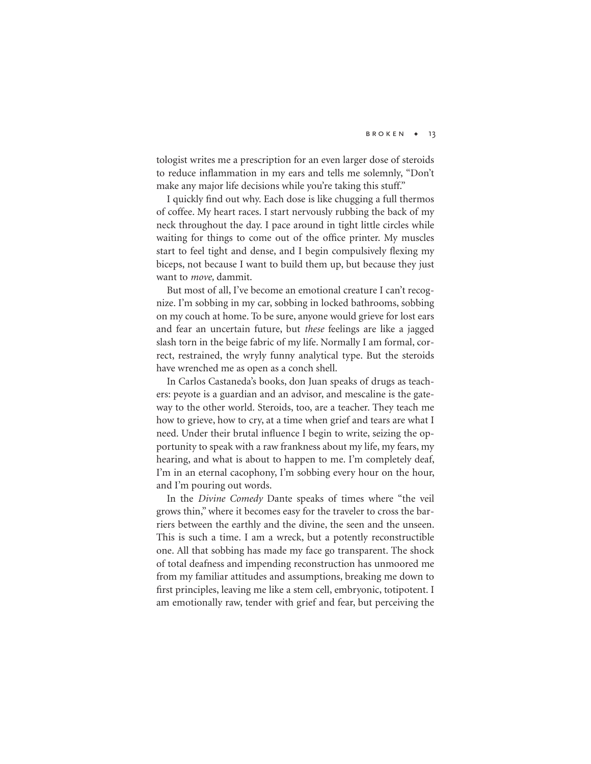tologist writes me a prescription for an even larger dose of steroids to reduce inflammation in my ears and tells me solemnly, "Don't make any major life decisions while you're taking this stuff."

I quickly find out why. Each dose is like chugging a full thermos of coffee. My heart races. I start nervously rubbing the back of my neck throughout the day. I pace around in tight little circles while waiting for things to come out of the office printer. My muscles start to feel tight and dense, and I begin compulsively flexing my biceps, not because I want to build them up, but because they just want to move, dammit.

But most of all, I've become an emotional creature I can't recognize. I'm sobbing in my car, sobbing in locked bathrooms, sobbing on my couch at home. To be sure, anyone would grieve for lost ears and fear an uncertain future, but these feelings are like a jagged slash torn in the beige fabric of my life. Normally I am formal, correct, restrained, the wryly funny analytical type. But the steroids have wrenched me as open as a conch shell.

In Carlos Castaneda's books, don Juan speaks of drugs as teachers: peyote is a guardian and an advisor, and mescaline is the gateway to the other world. Steroids, too, are a teacher. They teach me how to grieve, how to cry, at a time when grief and tears are what I need. Under their brutal influence I begin to write, seizing the opportunity to speak with a raw frankness about my life, my fears, my hearing, and what is about to happen to me. I'm completely deaf, I'm in an eternal cacophony, I'm sobbing every hour on the hour, and I'm pouring out words.

In the Divine Comedy Dante speaks of times where "the veil grows thin," where it becomes easy for the traveler to cross the barriers between the earthly and the divine, the seen and the unseen. This is such a time. I am a wreck, but a potently reconstructible one. All that sobbing has made my face go transparent. The shock of total deafness and impending reconstruction has unmoored me from my familiar attitudes and assumptions, breaking me down to first principles, leaving me like a stem cell, embryonic, totipotent. I am emotionally raw, tender with grief and fear, but perceiving the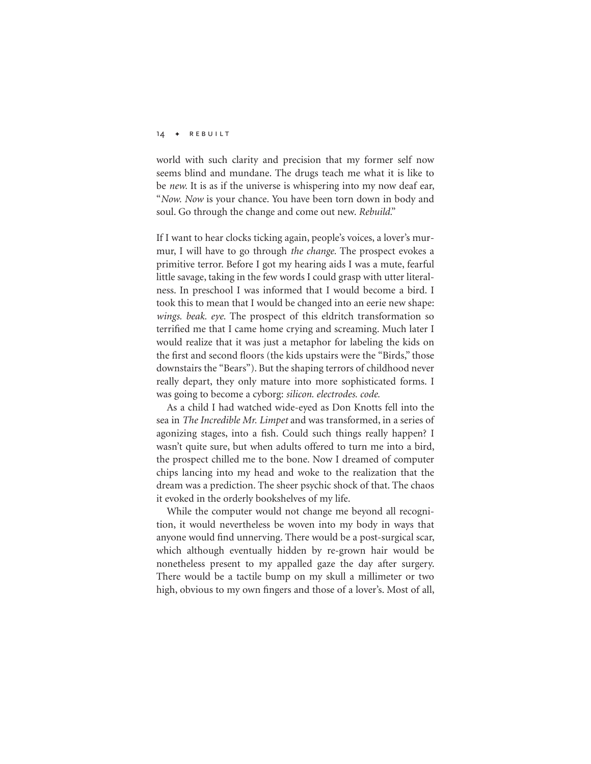# $14 \rightarrow$  REBUILT

world with such clarity and precision that my former self now seems blind and mundane. The drugs teach me what it is like to be new. It is as if the universe is whispering into my now deaf ear, "Now. Now is your chance. You have been torn down in body and soul. Go through the change and come out new. Rebuild."

If I want to hear clocks ticking again, people's voices, a lover's murmur, I will have to go through the change. The prospect evokes a primitive terror. Before I got my hearing aids I was a mute, fearful little savage, taking in the few words I could grasp with utter literalness. In preschool I was informed that I would become a bird. I took this to mean that I would be changed into an eerie new shape: wings. beak. eye. The prospect of this eldritch transformation so terrified me that I came home crying and screaming. Much later I would realize that it was just a metaphor for labeling the kids on the first and second floors (the kids upstairs were the "Birds," those downstairs the "Bears"). But the shaping terrors of childhood never really depart, they only mature into more sophisticated forms. I was going to become a cyborg: silicon. electrodes. code.

As a child I had watched wide-eyed as Don Knotts fell into the sea in The Incredible Mr. Limpet and was transformed, in a series of agonizing stages, into a fish. Could such things really happen? I wasn't quite sure, but when adults offered to turn me into a bird, the prospect chilled me to the bone. Now I dreamed of computer chips lancing into my head and woke to the realization that the dream was a prediction. The sheer psychic shock of that. The chaos it evoked in the orderly bookshelves of my life.

While the computer would not change me beyond all recognition, it would nevertheless be woven into my body in ways that anyone would find unnerving. There would be a post-surgical scar, which although eventually hidden by re-grown hair would be nonetheless present to my appalled gaze the day after surgery. There would be a tactile bump on my skull a millimeter or two high, obvious to my own fingers and those of a lover's. Most of all,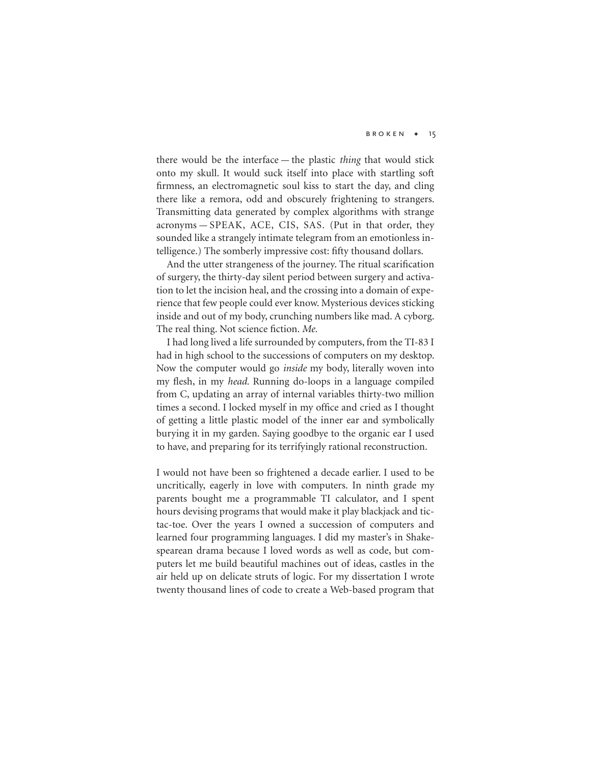there would be the interface — the plastic thing that would stick onto my skull. It would suck itself into place with startling soft firmness, an electromagnetic soul kiss to start the day, and cling there like a remora, odd and obscurely frightening to strangers. Transmitting data generated by complex algorithms with strange acronyms — SPEAK, ACE, CIS, SAS. (Put in that order, they sounded like a strangely intimate telegram from an emotionless intelligence.) The somberly impressive cost: fifty thousand dollars.

And the utter strangeness of the journey. The ritual scarification of surgery, the thirty-day silent period between surgery and activation to let the incision heal, and the crossing into a domain of experience that few people could ever know. Mysterious devices sticking inside and out of my body, crunching numbers like mad. A cyborg. The real thing. Not science fiction. Me.

I had long lived a life surrounded by computers, from the TI-83 I had in high school to the successions of computers on my desktop. Now the computer would go inside my body, literally woven into my flesh, in my head. Running do-loops in a language compiled from C, updating an array of internal variables thirty-two million times a second. I locked myself in my office and cried as I thought of getting a little plastic model of the inner ear and symbolically burying it in my garden. Saying goodbye to the organic ear I used to have, and preparing for its terrifyingly rational reconstruction.

I would not have been so frightened a decade earlier. I used to be uncritically, eagerly in love with computers. In ninth grade my parents bought me a programmable TI calculator, and I spent hours devising programs that would make it play blackjack and tictac-toe. Over the years I owned a succession of computers and learned four programming languages. I did my master's in Shakespearean drama because I loved words as well as code, but computers let me build beautiful machines out of ideas, castles in the air held up on delicate struts of logic. For my dissertation I wrote twenty thousand lines of code to create a Web-based program that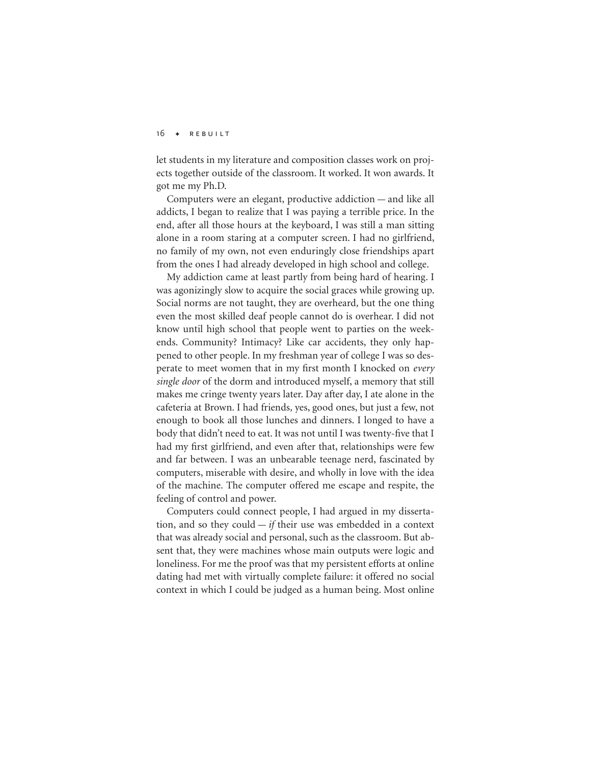## $16 \rightarrow$  REBUILT

let students in my literature and composition classes work on projects together outside of the classroom. It worked. It won awards. It got me my Ph.D.

Computers were an elegant, productive addiction — and like all addicts, I began to realize that I was paying a terrible price. In the end, after all those hours at the keyboard, I was still a man sitting alone in a room staring at a computer screen. I had no girlfriend, no family of my own, not even enduringly close friendships apart from the ones I had already developed in high school and college.

My addiction came at least partly from being hard of hearing. I was agonizingly slow to acquire the social graces while growing up. Social norms are not taught, they are overheard, but the one thing even the most skilled deaf people cannot do is overhear. I did not know until high school that people went to parties on the weekends. Community? Intimacy? Like car accidents, they only happened to other people. In my freshman year of college I was so desperate to meet women that in my first month I knocked on every single door of the dorm and introduced myself, a memory that still makes me cringe twenty years later. Day after day, I ate alone in the cafeteria at Brown. I had friends, yes, good ones, but just a few, not enough to book all those lunches and dinners. I longed to have a body that didn't need to eat. It was not until I was twenty-five that I had my first girlfriend, and even after that, relationships were few and far between. I was an unbearable teenage nerd, fascinated by computers, miserable with desire, and wholly in love with the idea of the machine. The computer offered me escape and respite, the feeling of control and power.

Computers could connect people, I had argued in my dissertation, and so they could  $-$  *if* their use was embedded in a context that was already social and personal, such as the classroom. But absent that, they were machines whose main outputs were logic and loneliness. For me the proof was that my persistent efforts at online dating had met with virtually complete failure: it offered no social context in which I could be judged as a human being. Most online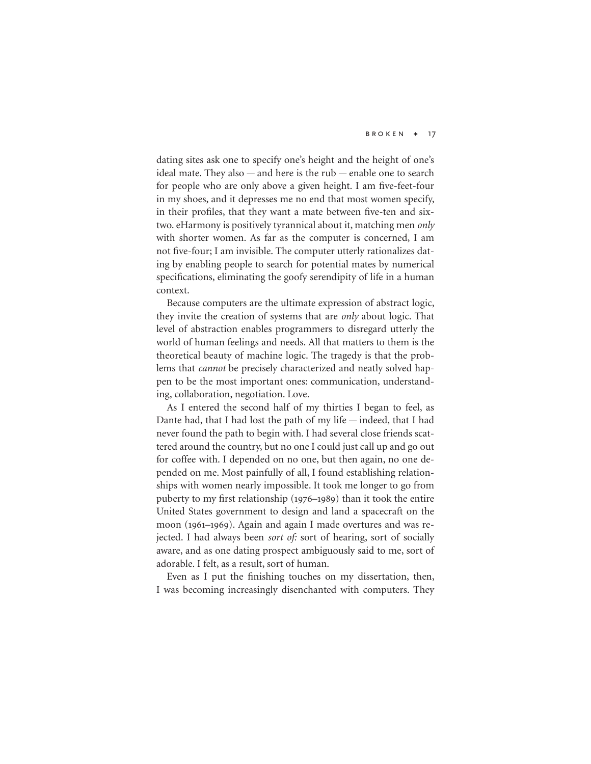dating sites ask one to specify one's height and the height of one's ideal mate. They also — and here is the rub — enable one to search for people who are only above a given height. I am five-feet-four in my shoes, and it depresses me no end that most women specify, in their profiles, that they want a mate between five-ten and sixtwo. eHarmony is positively tyrannical about it, matching men only with shorter women. As far as the computer is concerned, I am not five-four; I am invisible. The computer utterly rationalizes dating by enabling people to search for potential mates by numerical specifications, eliminating the goofy serendipity of life in a human context.

Because computers are the ultimate expression of abstract logic, they invite the creation of systems that are only about logic. That level of abstraction enables programmers to disregard utterly the world of human feelings and needs. All that matters to them is the theoretical beauty of machine logic. The tragedy is that the problems that cannot be precisely characterized and neatly solved happen to be the most important ones: communication, understanding, collaboration, negotiation. Love.

As I entered the second half of my thirties I began to feel, as Dante had, that I had lost the path of my life — indeed, that I had never found the path to begin with. I had several close friends scattered around the country, but no one I could just call up and go out for coffee with. I depended on no one, but then again, no one depended on me. Most painfully of all, I found establishing relationships with women nearly impossible. It took me longer to go from puberty to my first relationship (1976–1989) than it took the entire United States government to design and land a spacecraft on the moon (1961–1969). Again and again I made overtures and was rejected. I had always been *sort of*: sort of hearing, sort of socially aware, and as one dating prospect ambiguously said to me, sort of adorable. I felt, as a result, sort of human.

Even as I put the finishing touches on my dissertation, then, I was becoming increasingly disenchanted with computers. They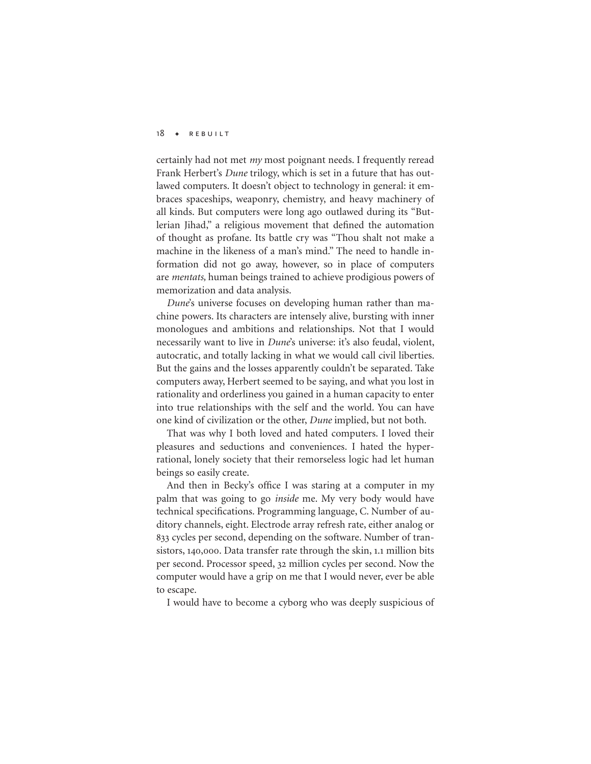# $18 \leftrightarrow$  REBUILT

certainly had not met my most poignant needs. I frequently reread Frank Herbert's Dune trilogy, which is set in a future that has outlawed computers. It doesn't object to technology in general: it embraces spaceships, weaponry, chemistry, and heavy machinery of all kinds. But computers were long ago outlawed during its "Butlerian Jihad," a religious movement that defined the automation of thought as profane. Its battle cry was "Thou shalt not make a machine in the likeness of a man's mind." The need to handle information did not go away, however, so in place of computers are mentats, human beings trained to achieve prodigious powers of memorization and data analysis.

Dune's universe focuses on developing human rather than machine powers. Its characters are intensely alive, bursting with inner monologues and ambitions and relationships. Not that I would necessarily want to live in Dune's universe: it's also feudal, violent, autocratic, and totally lacking in what we would call civil liberties. But the gains and the losses apparently couldn't be separated. Take computers away, Herbert seemed to be saying, and what you lost in rationality and orderliness you gained in a human capacity to enter into true relationships with the self and the world. You can have one kind of civilization or the other, Dune implied, but not both.

That was why I both loved and hated computers. I loved their pleasures and seductions and conveniences. I hated the hyperrational, lonely society that their remorseless logic had let human beings so easily create.

And then in Becky's office I was staring at a computer in my palm that was going to go *inside* me. My very body would have technical specifications. Programming language, C. Number of auditory channels, eight. Electrode array refresh rate, either analog or 833 cycles per second, depending on the software. Number of transistors, 140,000. Data transfer rate through the skin, 1.1 million bits per second. Processor speed, 32 million cycles per second. Now the computer would have a grip on me that I would never, ever be able to escape.

I would have to become a cyborg who was deeply suspicious of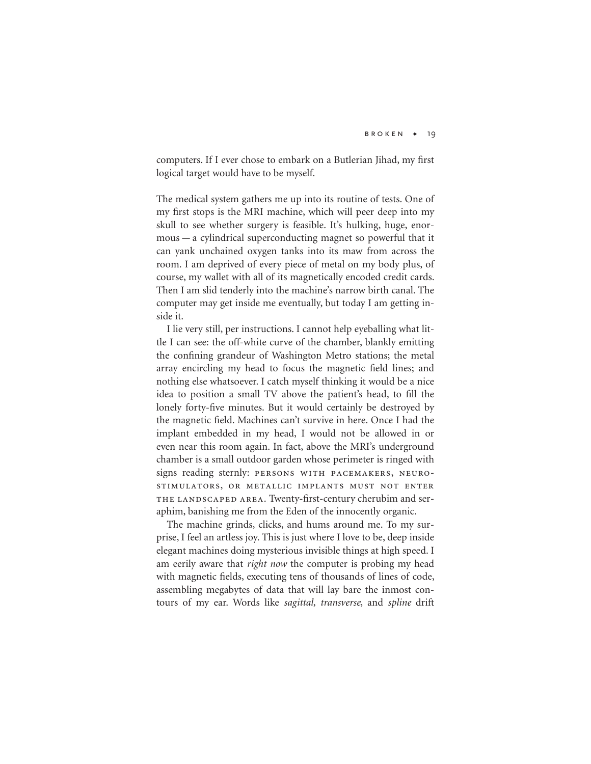computers. If I ever chose to embark on a Butlerian Jihad, my first logical target would have to be myself.

The medical system gathers me up into its routine of tests. One of my first stops is the MRI machine, which will peer deep into my skull to see whether surgery is feasible. It's hulking, huge, enormous — a cylindrical superconducting magnet so powerful that it can yank unchained oxygen tanks into its maw from across the room. I am deprived of every piece of metal on my body plus, of course, my wallet with all of its magnetically encoded credit cards. Then I am slid tenderly into the machine's narrow birth canal. The computer may get inside me eventually, but today I am getting inside it.

I lie very still, per instructions. I cannot help eyeballing what little I can see: the off-white curve of the chamber, blankly emitting the confining grandeur of Washington Metro stations; the metal array encircling my head to focus the magnetic field lines; and nothing else whatsoever. I catch myself thinking it would be a nice idea to position a small TV above the patient's head, to fill the lonely forty-five minutes. But it would certainly be destroyed by the magnetic field. Machines can't survive in here. Once I had the implant embedded in my head, I would not be allowed in or even near this room again. In fact, above the MRI's underground chamber is a small outdoor garden whose perimeter is ringed with signs reading sternly: persons with pacemakers, neurostimulators, or metallic implants must not enter the landscaped area. Twenty-first-century cherubim and seraphim, banishing me from the Eden of the innocently organic.

The machine grinds, clicks, and hums around me. To my surprise, I feel an artless joy. This is just where I love to be, deep inside elegant machines doing mysterious invisible things at high speed. I am eerily aware that *right now* the computer is probing my head with magnetic fields, executing tens of thousands of lines of code, assembling megabytes of data that will lay bare the inmost contours of my ear. Words like sagittal, transverse, and spline drift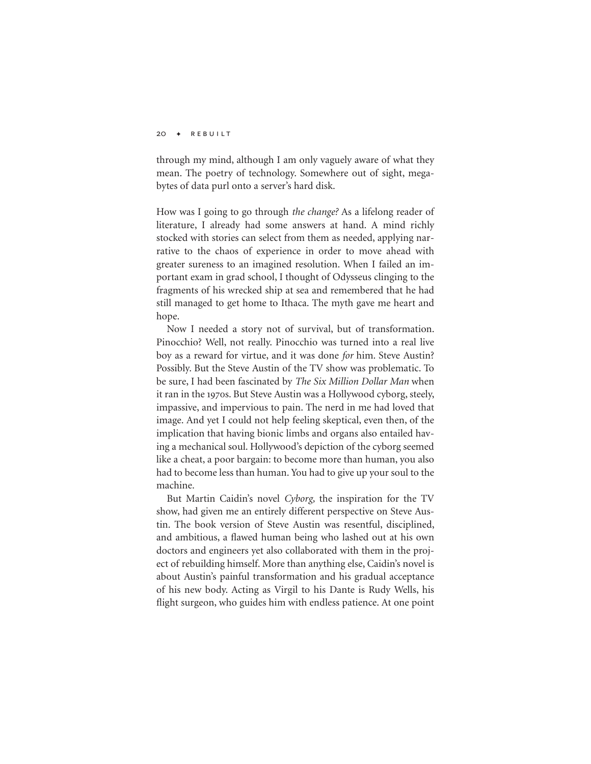#### $20 \div$  REBUILT

through my mind, although I am only vaguely aware of what they mean. The poetry of technology. Somewhere out of sight, megabytes of data purl onto a server's hard disk.

How was I going to go through the change? As a lifelong reader of literature, I already had some answers at hand. A mind richly stocked with stories can select from them as needed, applying narrative to the chaos of experience in order to move ahead with greater sureness to an imagined resolution. When I failed an important exam in grad school, I thought of Odysseus clinging to the fragments of his wrecked ship at sea and remembered that he had still managed to get home to Ithaca. The myth gave me heart and hope.

Now I needed a story not of survival, but of transformation. Pinocchio? Well, not really. Pinocchio was turned into a real live boy as a reward for virtue, and it was done for him. Steve Austin? Possibly. But the Steve Austin of the TV show was problematic. To be sure, I had been fascinated by The Six Million Dollar Man when it ran in the 1970s. But Steve Austin was a Hollywood cyborg, steely, impassive, and impervious to pain. The nerd in me had loved that image. And yet I could not help feeling skeptical, even then, of the implication that having bionic limbs and organs also entailed having a mechanical soul. Hollywood's depiction of the cyborg seemed like a cheat, a poor bargain: to become more than human, you also had to become less than human. You had to give up your soul to the machine.

But Martin Caidin's novel Cyborg, the inspiration for the TV show, had given me an entirely different perspective on Steve Austin. The book version of Steve Austin was resentful, disciplined, and ambitious, a flawed human being who lashed out at his own doctors and engineers yet also collaborated with them in the project of rebuilding himself. More than anything else, Caidin's novel is about Austin's painful transformation and his gradual acceptance of his new body. Acting as Virgil to his Dante is Rudy Wells, his flight surgeon, who guides him with endless patience. At one point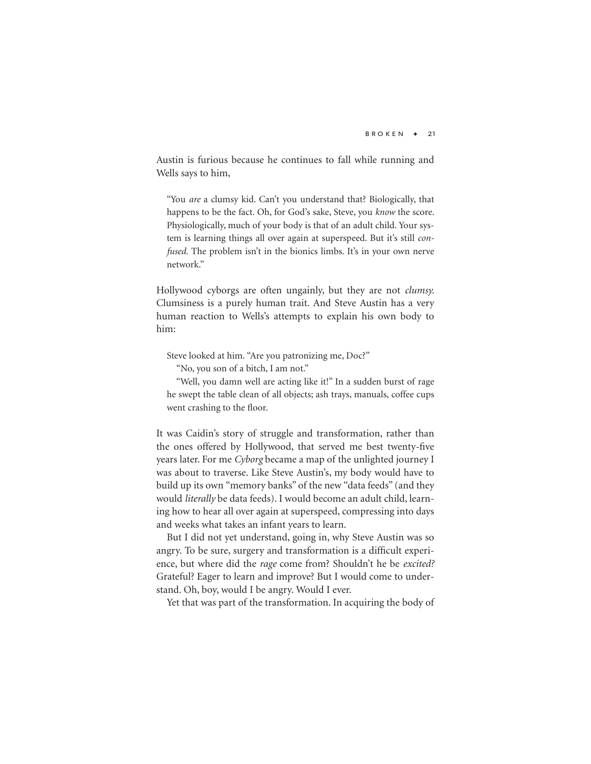Austin is furious because he continues to fall while running and Wells says to him,

"You are a clumsy kid. Can't you understand that? Biologically, that happens to be the fact. Oh, for God's sake, Steve, you know the score. Physiologically, much of your body is that of an adult child. Your system is learning things all over again at superspeed. But it's still confused. The problem isn't in the bionics limbs. It's in your own nerve network."

Hollywood cyborgs are often ungainly, but they are not *clumsy*. Clumsiness is a purely human trait. And Steve Austin has a very human reaction to Wells's attempts to explain his own body to him:

Steve looked at him. "Are you patronizing me, Doc?"

"No, you son of a bitch, I am not."

"Well, you damn well are acting like it!" In a sudden burst of rage he swept the table clean of all objects; ash trays, manuals, coffee cups went crashing to the floor.

It was Caidin's story of struggle and transformation, rather than the ones offered by Hollywood, that served me best twenty-five years later. For me Cyborg became a map of the unlighted journey I was about to traverse. Like Steve Austin's, my body would have to build up its own "memory banks" of the new "data feeds" (and they would literally be data feeds). I would become an adult child, learning how to hear all over again at superspeed, compressing into days and weeks what takes an infant years to learn.

But I did not yet understand, going in, why Steve Austin was so angry. To be sure, surgery and transformation is a difficult experience, but where did the rage come from? Shouldn't he be excited? Grateful? Eager to learn and improve? But I would come to understand. Oh, boy, would I be angry. Would I ever.

Yet that was part of the transformation. In acquiring the body of